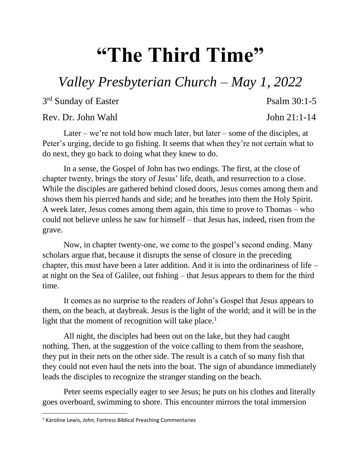## **"The Third Time"**

## *Valley Presbyterian Church – May 1, 2022*

3<sup>rd</sup> Sunday of Easter Psalm 30:1-5

Rev. Dr. John Wahl  $\sim$  John 21:1-14

Later – we're not told how much later, but later – some of the disciples, at Peter's urging, decide to go fishing. It seems that when they're not certain what to do next, they go back to doing what they knew to do.

In a sense, the Gospel of John has two endings. The first, at the close of chapter twenty, brings the story of Jesus' life, death, and resurrection to a close. While the disciples are gathered behind closed doors, Jesus comes among them and shows them his pierced hands and side; and he breathes into them the Holy Spirit. A week later, Jesus comes among them again, this time to prove to Thomas – who could not believe unless he saw for himself – that Jesus has, indeed, risen from the grave.

Now, in chapter twenty-one, we come to the gospel's second ending. Many scholars argue that, because it disrupts the sense of closure in the preceding chapter, this must have been a later addition. And it is into the ordinariness of life – at night on the Sea of Galilee, out fishing – that Jesus appears to them for the third time.

It comes as no surprise to the readers of John's Gospel that Jesus appears to them, on the beach, at daybreak. Jesus is the light of the world; and it will be in the light that the moment of recognition will take place.<sup>1</sup>

All night, the disciples had been out on the lake, but they had caught nothing. Then, at the suggestion of the voice calling to them from the seashore, they put in their nets on the other side. The result is a catch of so many fish that they could not even haul the nets into the boat. The sign of abundance immediately leads the disciples to recognize the stranger standing on the beach.

Peter seems especially eager to see Jesus; he puts on his clothes and literally goes overboard, swimming to shore. This encounter mirrors the total immersion

 $\overline{\phantom{a}}$ 

<sup>1</sup> Karoline Lewis, *John*, Fortress Biblical Preaching Commentaries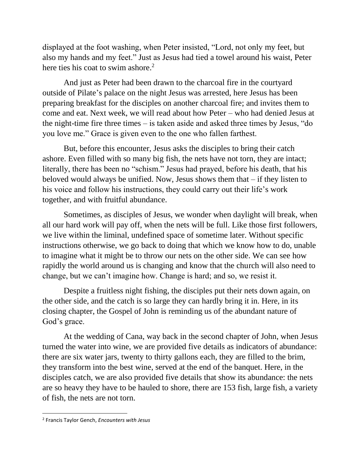displayed at the foot washing, when Peter insisted, "Lord, not only my feet, but also my hands and my feet." Just as Jesus had tied a towel around his waist, Peter here ties his coat to swim ashore.<sup>2</sup>

And just as Peter had been drawn to the charcoal fire in the courtyard outside of Pilate's palace on the night Jesus was arrested, here Jesus has been preparing breakfast for the disciples on another charcoal fire; and invites them to come and eat. Next week, we will read about how Peter – who had denied Jesus at the night-time fire three times – is taken aside and asked three times by Jesus, "do you love me." Grace is given even to the one who fallen farthest.

But, before this encounter, Jesus asks the disciples to bring their catch ashore. Even filled with so many big fish, the nets have not torn, they are intact; literally, there has been no "schism." Jesus had prayed, before his death, that his beloved would always be unified. Now, Jesus shows them that – if they listen to his voice and follow his instructions, they could carry out their life's work together, and with fruitful abundance.

Sometimes, as disciples of Jesus, we wonder when daylight will break, when all our hard work will pay off, when the nets will be full. Like those first followers, we live within the liminal, undefined space of sometime later. Without specific instructions otherwise, we go back to doing that which we know how to do, unable to imagine what it might be to throw our nets on the other side. We can see how rapidly the world around us is changing and know that the church will also need to change, but we can't imagine how. Change is hard; and so, we resist it.

Despite a fruitless night fishing, the disciples put their nets down again, on the other side, and the catch is so large they can hardly bring it in. Here, in its closing chapter, the Gospel of John is reminding us of the abundant nature of God's grace.

At the wedding of Cana, way back in the second chapter of John, when Jesus turned the water into wine, we are provided five details as indicators of abundance: there are six water jars, twenty to thirty gallons each, they are filled to the brim, they transform into the best wine, served at the end of the banquet. Here, in the disciples catch, we are also provided five details that show its abundance: the nets are so heavy they have to be hauled to shore, there are 153 fish, large fish, a variety of fish, the nets are not torn.

 $\overline{\phantom{a}}$ 

<sup>2</sup> Francis Taylor Gench, *Encounters with Jesus*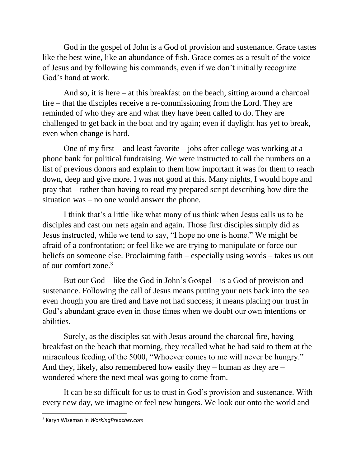God in the gospel of John is a God of provision and sustenance. Grace tastes like the best wine, like an abundance of fish. Grace comes as a result of the voice of Jesus and by following his commands, even if we don't initially recognize God's hand at work.

And so, it is here – at this breakfast on the beach, sitting around a charcoal fire – that the disciples receive a re-commissioning from the Lord. They are reminded of who they are and what they have been called to do. They are challenged to get back in the boat and try again; even if daylight has yet to break, even when change is hard.

One of my first – and least favorite – jobs after college was working at a phone bank for political fundraising. We were instructed to call the numbers on a list of previous donors and explain to them how important it was for them to reach down, deep and give more. I was not good at this. Many nights, I would hope and pray that – rather than having to read my prepared script describing how dire the situation was – no one would answer the phone.

I think that's a little like what many of us think when Jesus calls us to be disciples and cast our nets again and again. Those first disciples simply did as Jesus instructed, while we tend to say, "I hope no one is home." We might be afraid of a confrontation; or feel like we are trying to manipulate or force our beliefs on someone else. Proclaiming faith – especially using words – takes us out of our comfort zone.<sup>3</sup>

But our God – like the God in John's Gospel – is a God of provision and sustenance. Following the call of Jesus means putting your nets back into the sea even though you are tired and have not had success; it means placing our trust in God's abundant grace even in those times when we doubt our own intentions or abilities.

Surely, as the disciples sat with Jesus around the charcoal fire, having breakfast on the beach that morning, they recalled what he had said to them at the miraculous feeding of the 5000, "Whoever comes to me will never be hungry." And they, likely, also remembered how easily they – human as they are – wondered where the next meal was going to come from.

It can be so difficult for us to trust in God's provision and sustenance. With every new day, we imagine or feel new hungers. We look out onto the world and

 $\overline{\phantom{a}}$ 

<sup>3</sup> Karyn Wiseman in *WorkingPreacher.com*